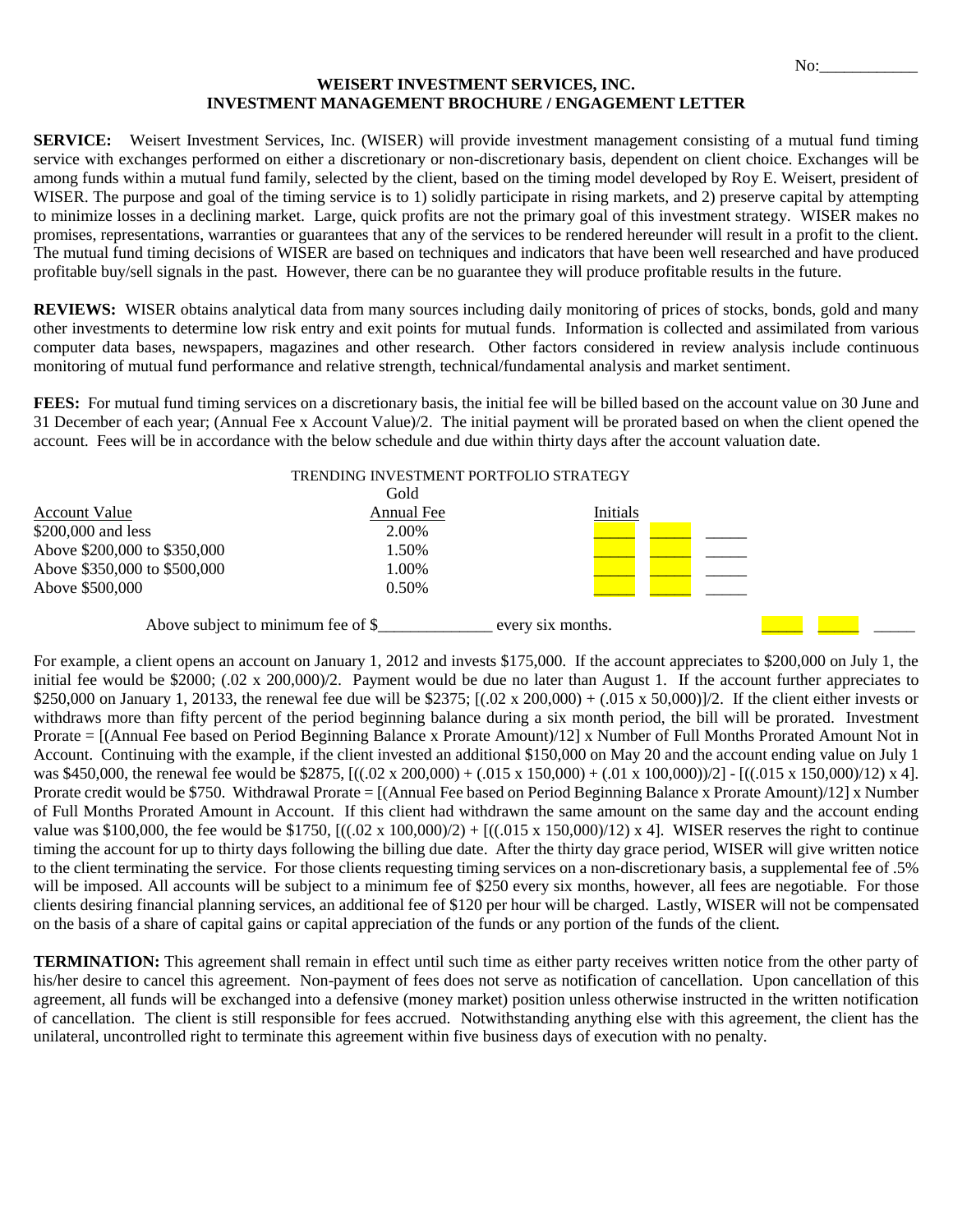## **WEISERT INVESTMENT SERVICES, INC. INVESTMENT MANAGEMENT BROCHURE / ENGAGEMENT LETTER**

**SERVICE:** Weisert Investment Services, Inc. (WISER) will provide investment management consisting of a mutual fund timing service with exchanges performed on either a discretionary or non-discretionary basis, dependent on client choice. Exchanges will be among funds within a mutual fund family, selected by the client, based on the timing model developed by Roy E. Weisert, president of WISER. The purpose and goal of the timing service is to 1) solidly participate in rising markets, and 2) preserve capital by attempting to minimize losses in a declining market. Large, quick profits are not the primary goal of this investment strategy. WISER makes no promises, representations, warranties or guarantees that any of the services to be rendered hereunder will result in a profit to the client. The mutual fund timing decisions of WISER are based on techniques and indicators that have been well researched and have produced profitable buy/sell signals in the past. However, there can be no guarantee they will produce profitable results in the future.

**REVIEWS:** WISER obtains analytical data from many sources including daily monitoring of prices of stocks, bonds, gold and many other investments to determine low risk entry and exit points for mutual funds. Information is collected and assimilated from various computer data bases, newspapers, magazines and other research. Other factors considered in review analysis include continuous monitoring of mutual fund performance and relative strength, technical/fundamental analysis and market sentiment.

FEES: For mutual fund timing services on a discretionary basis, the initial fee will be billed based on the account value on 30 June and 31 December of each year; (Annual Fee x Account Value)/2. The initial payment will be prorated based on when the client opened the account. Fees will be in accordance with the below schedule and due within thirty days after the account valuation date.

| TRENDING INVESTMENT PORTFOLIO STRATEGY |            |          |  |
|----------------------------------------|------------|----------|--|
|                                        | Gold       |          |  |
| <b>Account Value</b>                   | Annual Fee | Initials |  |
| \$200,000 and less                     | 2.00%      |          |  |
| Above \$200,000 to \$350,000           | 1.50%      |          |  |
| Above \$350,000 to \$500,000           | 1.00%      |          |  |
| Above \$500,000                        | $0.50\%$   |          |  |
|                                        |            |          |  |

Above subject to minimum fee of  $\frac{1}{2}$  every six months.

For example, a client opens an account on January 1, 2012 and invests \$175,000. If the account appreciates to \$200,000 on July 1, the initial fee would be \$2000; (.02 x 200,000)/2. Payment would be due no later than August 1. If the account further appreciates to \$250,000 on January 1, 20133, the renewal fee due will be \$2375;  $[(.02 \times 200,000) + (.015 \times 50,000)]/2$ . If the client either invests or withdraws more than fifty percent of the period beginning balance during a six month period, the bill will be prorated. Investment Prorate = [(Annual Fee based on Period Beginning Balance x Prorate Amount)/12] x Number of Full Months Prorated Amount Not in Account. Continuing with the example, if the client invested an additional \$150,000 on May 20 and the account ending value on July 1 was \$450,000, the renewal fee would be \$2875,  $[((.02 \times 200,000) + (.015 \times 150,000) + (.01 \times 100,000))$ /2] -  $[((.015 \times 150,000) / 12) \times 4]$ . Prorate credit would be \$750. Withdrawal Prorate = [(Annual Fee based on Period Beginning Balance x Prorate Amount)/12] x Number of Full Months Prorated Amount in Account. If this client had withdrawn the same amount on the same day and the account ending value was \$100,000, the fee would be \$1750,  $[((.02 \times 100,000)/2) + [((.015 \times 150,000)/12) \times 4]$ . WISER reserves the right to continue timing the account for up to thirty days following the billing due date. After the thirty day grace period, WISER will give written notice to the client terminating the service. For those clients requesting timing services on a non-discretionary basis, a supplemental fee of .5% will be imposed. All accounts will be subject to a minimum fee of \$250 every six months, however, all fees are negotiable. For those clients desiring financial planning services, an additional fee of \$120 per hour will be charged. Lastly, WISER will not be compensated on the basis of a share of capital gains or capital appreciation of the funds or any portion of the funds of the client.

**TERMINATION:** This agreement shall remain in effect until such time as either party receives written notice from the other party of his/her desire to cancel this agreement. Non-payment of fees does not serve as notification of cancellation. Upon cancellation of this agreement, all funds will be exchanged into a defensive (money market) position unless otherwise instructed in the written notification of cancellation. The client is still responsible for fees accrued. Notwithstanding anything else with this agreement, the client has the unilateral, uncontrolled right to terminate this agreement within five business days of execution with no penalty.